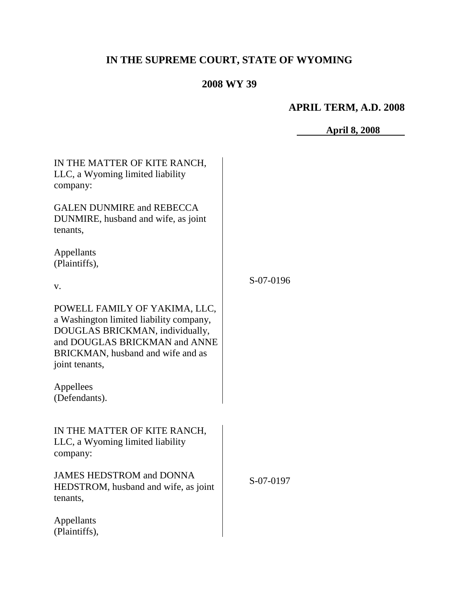# **IN THE SUPREME COURT, STATE OF WYOMING**

## **2008 WY 39**

## **APRIL TERM, A.D. 2008**

**April 8, 2008**

| IN THE MATTER OF KITE RANCH,<br>LLC, a Wyoming limited liability<br>company:                                                                                                                        |           |  |
|-----------------------------------------------------------------------------------------------------------------------------------------------------------------------------------------------------|-----------|--|
| <b>GALEN DUNMIRE and REBECCA</b><br>DUNMIRE, husband and wife, as joint<br>tenants,                                                                                                                 |           |  |
| Appellants<br>(Plaintiffs),                                                                                                                                                                         |           |  |
| V.                                                                                                                                                                                                  | S-07-0196 |  |
| POWELL FAMILY OF YAKIMA, LLC,<br>a Washington limited liability company,<br>DOUGLAS BRICKMAN, individually,<br>and DOUGLAS BRICKMAN and ANNE<br>BRICKMAN, husband and wife and as<br>joint tenants, |           |  |
| Appellees<br>(Defendants).                                                                                                                                                                          |           |  |
| IN THE MATTER OF KITE RANCH,<br>LLC, a Wyoming limited liability<br>company:                                                                                                                        |           |  |
| <b>JAMES HEDSTROM and DONNA</b><br>HEDSTROM, husband and wife, as joint<br>tenants,                                                                                                                 | S-07-0197 |  |
| Appellants<br>(Plaintiffs),                                                                                                                                                                         |           |  |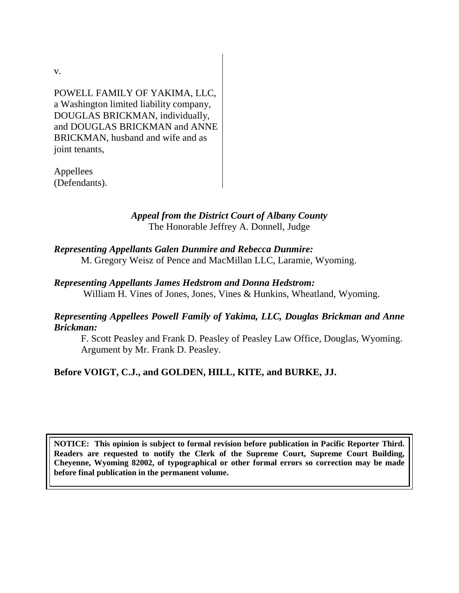v.

POWELL FAMILY OF YAKIMA, LLC, a Washington limited liability company, DOUGLAS BRICKMAN, individually, and DOUGLAS BRICKMAN and ANNE BRICKMAN, husband and wife and as joint tenants,

Appellees (Defendants).

## *Appeal from the District Court of Albany County* The Honorable Jeffrey A. Donnell, Judge

*Representing Appellants Galen Dunmire and Rebecca Dunmire:* M. Gregory Weisz of Pence and MacMillan LLC, Laramie, Wyoming.

*Representing Appellants James Hedstrom and Donna Hedstrom:* William H. Vines of Jones, Jones, Vines & Hunkins, Wheatland, Wyoming.

#### *Representing Appellees Powell Family of Yakima, LLC, Douglas Brickman and Anne Brickman:*

F. Scott Peasley and Frank D. Peasley of Peasley Law Office, Douglas, Wyoming. Argument by Mr. Frank D. Peasley.

## **Before VOIGT, C.J., and GOLDEN, HILL, KITE, and BURKE, JJ.**

**NOTICE: This opinion is subject to formal revision before publication in Pacific Reporter Third. Readers are requested to notify the Clerk of the Supreme Court, Supreme Court Building, Cheyenne, Wyoming 82002, of typographical or other formal errors so correction may be made before final publication in the permanent volume.**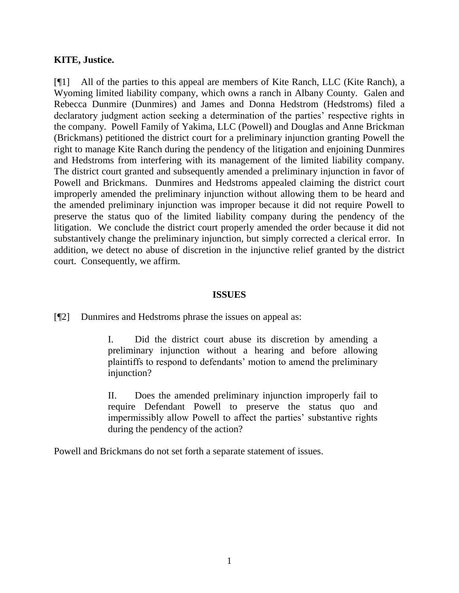#### **KITE, Justice.**

[¶1] All of the parties to this appeal are members of Kite Ranch, LLC (Kite Ranch), a Wyoming limited liability company, which owns a ranch in Albany County. Galen and Rebecca Dunmire (Dunmires) and James and Donna Hedstrom (Hedstroms) filed a declaratory judgment action seeking a determination of the parties' respective rights in the company. Powell Family of Yakima, LLC (Powell) and Douglas and Anne Brickman (Brickmans) petitioned the district court for a preliminary injunction granting Powell the right to manage Kite Ranch during the pendency of the litigation and enjoining Dunmires and Hedstroms from interfering with its management of the limited liability company. The district court granted and subsequently amended a preliminary injunction in favor of Powell and Brickmans. Dunmires and Hedstroms appealed claiming the district court improperly amended the preliminary injunction without allowing them to be heard and the amended preliminary injunction was improper because it did not require Powell to preserve the status quo of the limited liability company during the pendency of the litigation. We conclude the district court properly amended the order because it did not substantively change the preliminary injunction, but simply corrected a clerical error. In addition, we detect no abuse of discretion in the injunctive relief granted by the district court. Consequently, we affirm.

#### **ISSUES**

[¶2] Dunmires and Hedstroms phrase the issues on appeal as:

I. Did the district court abuse its discretion by amending a preliminary injunction without a hearing and before allowing plaintiffs to respond to defendants" motion to amend the preliminary injunction?

II. Does the amended preliminary injunction improperly fail to require Defendant Powell to preserve the status quo and impermissibly allow Powell to affect the parties' substantive rights during the pendency of the action?

Powell and Brickmans do not set forth a separate statement of issues.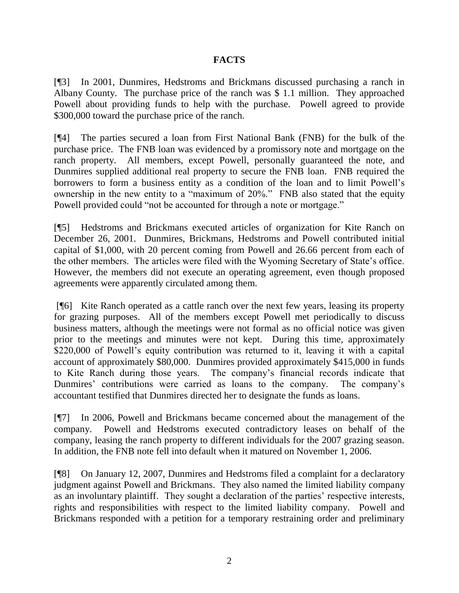## **FACTS**

[¶3] In 2001, Dunmires, Hedstroms and Brickmans discussed purchasing a ranch in Albany County. The purchase price of the ranch was \$ 1.1 million. They approached Powell about providing funds to help with the purchase. Powell agreed to provide \$300,000 toward the purchase price of the ranch.

[¶4] The parties secured a loan from First National Bank (FNB) for the bulk of the purchase price. The FNB loan was evidenced by a promissory note and mortgage on the ranch property. All members, except Powell, personally guaranteed the note, and Dunmires supplied additional real property to secure the FNB loan. FNB required the borrowers to form a business entity as a condition of the loan and to limit Powell"s ownership in the new entity to a "maximum of 20%." FNB also stated that the equity Powell provided could "not be accounted for through a note or mortgage."

[¶5] Hedstroms and Brickmans executed articles of organization for Kite Ranch on December 26, 2001. Dunmires, Brickmans, Hedstroms and Powell contributed initial capital of \$1,000, with 20 percent coming from Powell and 26.66 percent from each of the other members. The articles were filed with the Wyoming Secretary of State's office. However, the members did not execute an operating agreement, even though proposed agreements were apparently circulated among them.

[¶6] Kite Ranch operated as a cattle ranch over the next few years, leasing its property for grazing purposes. All of the members except Powell met periodically to discuss business matters, although the meetings were not formal as no official notice was given prior to the meetings and minutes were not kept. During this time, approximately \$220,000 of Powell's equity contribution was returned to it, leaving it with a capital account of approximately \$80,000. Dunmires provided approximately \$415,000 in funds to Kite Ranch during those years. The company"s financial records indicate that Dunmires' contributions were carried as loans to the company. The company's accountant testified that Dunmires directed her to designate the funds as loans.

[¶7] In 2006, Powell and Brickmans became concerned about the management of the company. Powell and Hedstroms executed contradictory leases on behalf of the company, leasing the ranch property to different individuals for the 2007 grazing season. In addition, the FNB note fell into default when it matured on November 1, 2006.

[¶8] On January 12, 2007, Dunmires and Hedstroms filed a complaint for a declaratory judgment against Powell and Brickmans. They also named the limited liability company as an involuntary plaintiff. They sought a declaration of the parties' respective interests, rights and responsibilities with respect to the limited liability company. Powell and Brickmans responded with a petition for a temporary restraining order and preliminary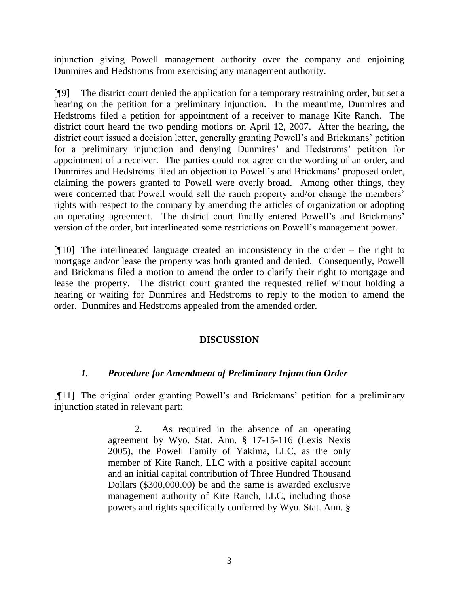injunction giving Powell management authority over the company and enjoining Dunmires and Hedstroms from exercising any management authority.

[¶9] The district court denied the application for a temporary restraining order, but set a hearing on the petition for a preliminary injunction. In the meantime, Dunmires and Hedstroms filed a petition for appointment of a receiver to manage Kite Ranch. The district court heard the two pending motions on April 12, 2007. After the hearing, the district court issued a decision letter, generally granting Powell's and Brickmans' petition for a preliminary injunction and denying Dunmires' and Hedstroms' petition for appointment of a receiver. The parties could not agree on the wording of an order, and Dunmires and Hedstroms filed an objection to Powell"s and Brickmans" proposed order, claiming the powers granted to Powell were overly broad. Among other things, they were concerned that Powell would sell the ranch property and/or change the members' rights with respect to the company by amending the articles of organization or adopting an operating agreement. The district court finally entered Powell's and Brickmans' version of the order, but interlineated some restrictions on Powell"s management power.

 $[$ [[10] The interlineated language created an inconsistency in the order – the right to mortgage and/or lease the property was both granted and denied. Consequently, Powell and Brickmans filed a motion to amend the order to clarify their right to mortgage and lease the property. The district court granted the requested relief without holding a hearing or waiting for Dunmires and Hedstroms to reply to the motion to amend the order. Dunmires and Hedstroms appealed from the amended order.

## **DISCUSSION**

## *1. Procedure for Amendment of Preliminary Injunction Order*

[¶11] The original order granting Powell"s and Brickmans" petition for a preliminary injunction stated in relevant part:

> 2. As required in the absence of an operating agreement by Wyo. Stat. Ann. § 17-15-116 (Lexis Nexis 2005), the Powell Family of Yakima, LLC, as the only member of Kite Ranch, LLC with a positive capital account and an initial capital contribution of Three Hundred Thousand Dollars (\$300,000.00) be and the same is awarded exclusive management authority of Kite Ranch, LLC, including those powers and rights specifically conferred by Wyo. Stat. Ann. §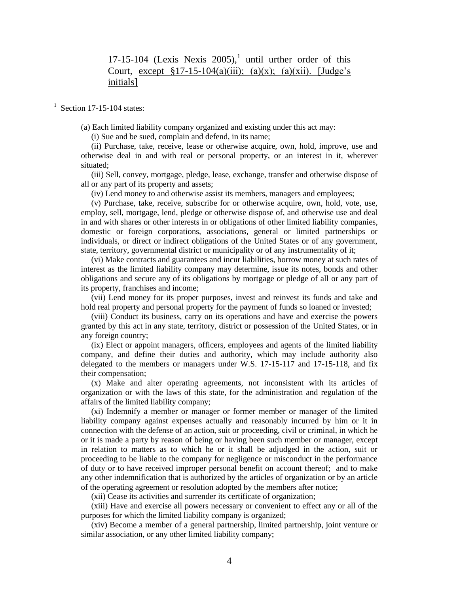$1$  Section 17-15-104 states:

(a) Each limited liability company organized and existing under this act may:

(i) Sue and be sued, complain and defend, in its name;

 (ii) Purchase, take, receive, lease or otherwise acquire, own, hold, improve, use and otherwise deal in and with real or personal property, or an interest in it, wherever situated;

 (iii) Sell, convey, mortgage, pledge, lease, exchange, transfer and otherwise dispose of all or any part of its property and assets;

(iv) Lend money to and otherwise assist its members, managers and employees;

 (v) Purchase, take, receive, subscribe for or otherwise acquire, own, hold, vote, use, employ, sell, mortgage, lend, pledge or otherwise dispose of, and otherwise use and deal in and with shares or other interests in or obligations of other limited liability companies, domestic or foreign corporations, associations, general or limited partnerships or individuals, or direct or indirect obligations of the United States or of any government, state, territory, governmental district or municipality or of any instrumentality of it;

 (vi) Make contracts and guarantees and incur liabilities, borrow money at such rates of interest as the limited liability company may determine, issue its notes, bonds and other obligations and secure any of its obligations by mortgage or pledge of all or any part of its property, franchises and income;

 (vii) Lend money for its proper purposes, invest and reinvest its funds and take and hold real property and personal property for the payment of funds so loaned or invested;

 (viii) Conduct its business, carry on its operations and have and exercise the powers granted by this act in any state, territory, district or possession of the United States, or in any foreign country;

 (ix) Elect or appoint managers, officers, employees and agents of the limited liability company, and define their duties and authority, which may include authority also delegated to the members or managers under W.S. 17-15-117 and 17-15-118, and fix their compensation;

 (x) Make and alter operating agreements, not inconsistent with its articles of organization or with the laws of this state, for the administration and regulation of the affairs of the limited liability company;

 (xi) Indemnify a member or manager or former member or manager of the limited liability company against expenses actually and reasonably incurred by him or it in connection with the defense of an action, suit or proceeding, civil or criminal, in which he or it is made a party by reason of being or having been such member or manager, except in relation to matters as to which he or it shall be adjudged in the action, suit or proceeding to be liable to the company for negligence or misconduct in the performance of duty or to have received improper personal benefit on account thereof; and to make any other indemnification that is authorized by the articles of organization or by an article of the operating agreement or resolution adopted by the members after notice;

(xii) Cease its activities and surrender its certificate of organization;

 (xiii) Have and exercise all powers necessary or convenient to effect any or all of the purposes for which the limited liability company is organized;

 (xiv) Become a member of a general partnership, limited partnership, joint venture or similar association, or any other limited liability company;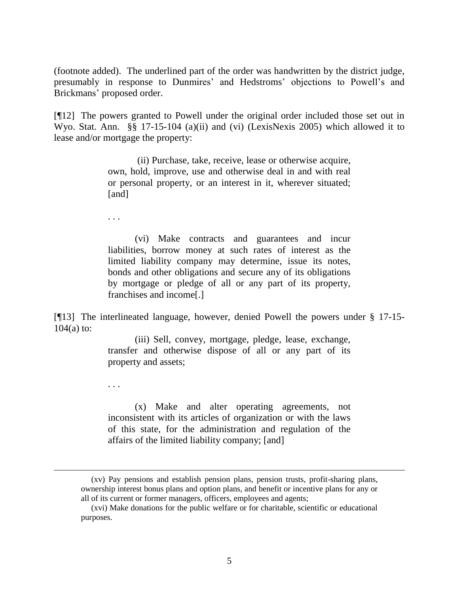(footnote added). The underlined part of the order was handwritten by the district judge, presumably in response to Dunmires' and Hedstroms' objections to Powell's and Brickmans" proposed order.

[¶12] The powers granted to Powell under the original order included those set out in Wyo. Stat. Ann. §§ 17-15-104 (a)(ii) and (vi) (LexisNexis 2005) which allowed it to lease and/or mortgage the property:

> (ii) Purchase, take, receive, lease or otherwise acquire, own, hold, improve, use and otherwise deal in and with real or personal property, or an interest in it, wherever situated; [and]

. . .

. . .

(vi) Make contracts and guarantees and incur liabilities, borrow money at such rates of interest as the limited liability company may determine, issue its notes, bonds and other obligations and secure any of its obligations by mortgage or pledge of all or any part of its property, franchises and income[.]

[¶13] The interlineated language, however, denied Powell the powers under § 17-15-  $104(a)$  to:

> (iii) Sell, convey, mortgage, pledge, lease, exchange, transfer and otherwise dispose of all or any part of its property and assets;

> (x) Make and alter operating agreements, not inconsistent with its articles of organization or with the laws of this state, for the administration and regulation of the affairs of the limited liability company; [and]

 <sup>(</sup>xv) Pay pensions and establish pension plans, pension trusts, profit-sharing plans, ownership interest bonus plans and option plans, and benefit or incentive plans for any or all of its current or former managers, officers, employees and agents;

 <sup>(</sup>xvi) Make donations for the public welfare or for charitable, scientific or educational purposes.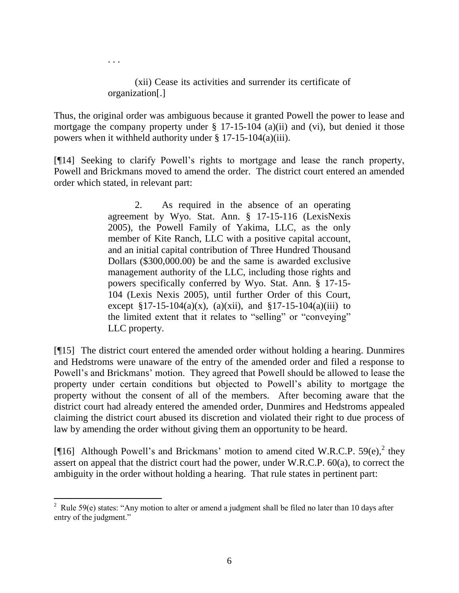## (xii) Cease its activities and surrender its certificate of organization[.]

. . .

Thus, the original order was ambiguous because it granted Powell the power to lease and mortgage the company property under  $\S$  17-15-104 (a)(ii) and (vi), but denied it those powers when it withheld authority under § 17-15-104(a)(iii).

[¶14] Seeking to clarify Powell"s rights to mortgage and lease the ranch property, Powell and Brickmans moved to amend the order. The district court entered an amended order which stated, in relevant part:

> 2. As required in the absence of an operating agreement by Wyo. Stat. Ann. § 17-15-116 (LexisNexis 2005), the Powell Family of Yakima, LLC, as the only member of Kite Ranch, LLC with a positive capital account, and an initial capital contribution of Three Hundred Thousand Dollars (\$300,000.00) be and the same is awarded exclusive management authority of the LLC, including those rights and powers specifically conferred by Wyo. Stat. Ann. § 17-15- 104 (Lexis Nexis 2005), until further Order of this Court, except  $$17-15-104(a)(x)$ , (a)(xii), and  $$17-15-104(a)(iii)$  to the limited extent that it relates to "selling" or "conveying" LLC property.

[¶15] The district court entered the amended order without holding a hearing. Dunmires and Hedstroms were unaware of the entry of the amended order and filed a response to Powell"s and Brickmans" motion. They agreed that Powell should be allowed to lease the property under certain conditions but objected to Powell"s ability to mortgage the property without the consent of all of the members. After becoming aware that the district court had already entered the amended order, Dunmires and Hedstroms appealed claiming the district court abused its discretion and violated their right to due process of law by amending the order without giving them an opportunity to be heard.

[ $[16]$  Although Powell's and Brickmans' motion to amend cited W.R.C.P. 59 $(e)$ , they assert on appeal that the district court had the power, under W.R.C.P. 60(a), to correct the ambiguity in the order without holding a hearing. That rule states in pertinent part:

<sup>&</sup>lt;sup>2</sup> Rule 59(e) states: "Any motion to alter or amend a judgment shall be filed no later than 10 days after entry of the judgment."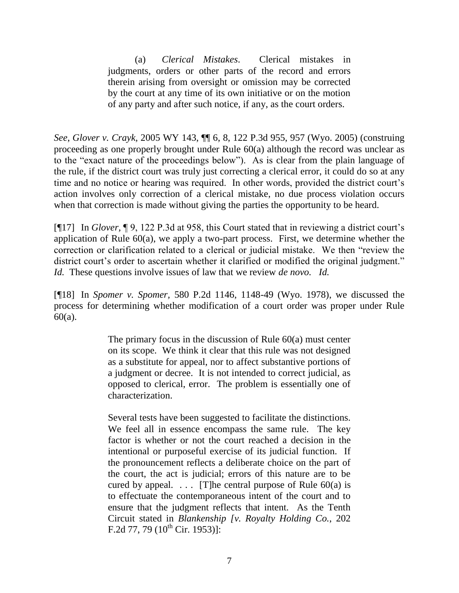(a) *Clerical Mistakes*. Clerical mistakes in judgments, orders or other parts of the record and errors therein arising from oversight or omission may be corrected by the court at any time of its own initiative or on the motion of any party and after such notice, if any, as the court orders.

*See*, *Glover v. Crayk,* 2005 WY 143, ¶¶ 6, 8, 122 P.3d 955, 957 (Wyo. 2005) (construing proceeding as one properly brought under Rule 60(a) although the record was unclear as to the "exact nature of the proceedings below"). As is clear from the plain language of the rule, if the district court was truly just correcting a clerical error, it could do so at any time and no notice or hearing was required. In other words, provided the district court's action involves only correction of a clerical mistake, no due process violation occurs when that correction is made without giving the parties the opportunity to be heard.

[¶17] In *Glover,* ¶ 9, 122 P.3d at 958, this Court stated that in reviewing a district court"s application of Rule 60(a), we apply a two-part process. First, we determine whether the correction or clarification related to a clerical or judicial mistake. We then "review the district court's order to ascertain whether it clarified or modified the original judgment." *Id.* These questions involve issues of law that we review *de novo. Id.* 

[¶18] In *Spomer v. Spomer,* 580 P.2d 1146, 1148-49 (Wyo. 1978), we discussed the process for determining whether modification of a court order was proper under Rule 60(a).

> The primary focus in the discussion of Rule  $60(a)$  must center on its scope. We think it clear that this rule was not designed as a substitute for appeal, nor to affect substantive portions of a judgment or decree. It is not intended to correct judicial, as opposed to clerical, error. The problem is essentially one of characterization.

> Several tests have been suggested to facilitate the distinctions. We feel all in essence encompass the same rule. The key factor is whether or not the court reached a decision in the intentional or purposeful exercise of its judicial function. If the pronouncement reflects a deliberate choice on the part of the court, the act is judicial; errors of this nature are to be cured by appeal.  $\ldots$  [T]he central purpose of Rule 60(a) is to effectuate the contemporaneous intent of the court and to ensure that the judgment reflects that intent. As the Tenth Circuit stated in *Blankenship [v. Royalty Holding Co.*, 202 F.2d 77, 79  $(10^{th}$  Cir. 1953)]: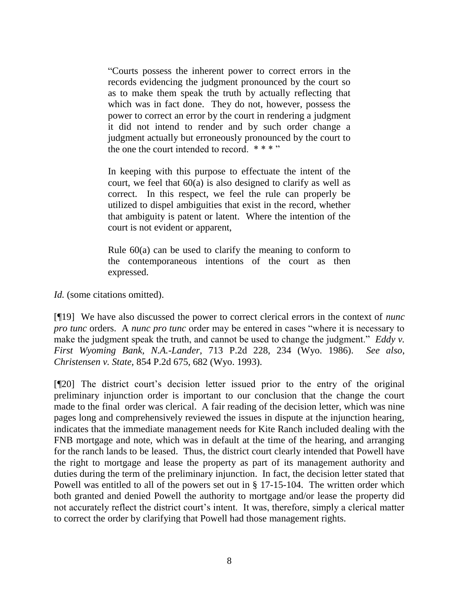"Courts possess the inherent power to correct errors in the records evidencing the judgment pronounced by the court so as to make them speak the truth by actually reflecting that which was in fact done. They do not, however, possess the power to correct an error by the court in rendering a judgment it did not intend to render and by such order change a judgment actually but erroneously pronounced by the court to the one the court intended to record.  $***$ 

In keeping with this purpose to effectuate the intent of the court, we feel that 60(a) is also designed to clarify as well as correct. In this respect, we feel the rule can properly be utilized to dispel ambiguities that exist in the record, whether that ambiguity is patent or latent. Where the intention of the court is not evident or apparent,

Rule 60(a) can be used to clarify the meaning to conform to the contemporaneous intentions of the court as then expressed.

*Id.* (some citations omitted).

[¶19] We have also discussed the power to correct clerical errors in the context of *nunc pro tunc* orders. A *nunc pro tunc* order may be entered in cases "where it is necessary to make the judgment speak the truth, and cannot be used to change the judgment." *Eddy v. First Wyoming Bank, N.A.-Lander,* 713 P.2d 228, 234 (Wyo. 1986). *See also*, *Christensen v. State,* 854 P.2d 675, 682 (Wyo. 1993).

[¶20] The district court"s decision letter issued prior to the entry of the original preliminary injunction order is important to our conclusion that the change the court made to the final order was clerical. A fair reading of the decision letter, which was nine pages long and comprehensively reviewed the issues in dispute at the injunction hearing, indicates that the immediate management needs for Kite Ranch included dealing with the FNB mortgage and note, which was in default at the time of the hearing, and arranging for the ranch lands to be leased. Thus, the district court clearly intended that Powell have the right to mortgage and lease the property as part of its management authority and duties during the term of the preliminary injunction. In fact, the decision letter stated that Powell was entitled to all of the powers set out in § 17-15-104. The written order which both granted and denied Powell the authority to mortgage and/or lease the property did not accurately reflect the district court's intent. It was, therefore, simply a clerical matter to correct the order by clarifying that Powell had those management rights.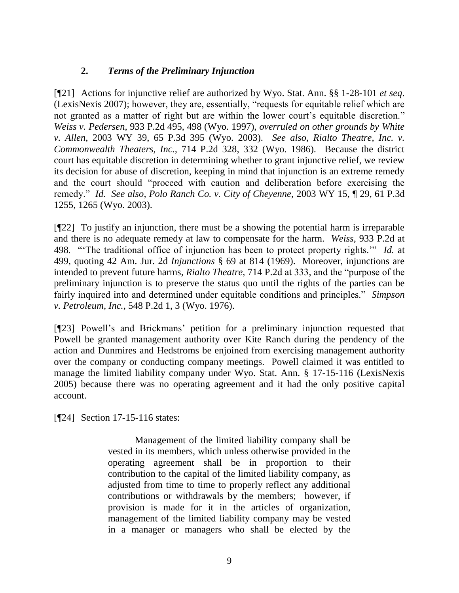## **2.** *Terms of the Preliminary Injunction*

[¶21] Actions for injunctive relief are authorized by Wyo. Stat. Ann. §§ 1-28-101 *et seq*. (LexisNexis 2007); however, they are, essentially, "requests for equitable relief which are not granted as a matter of right but are within the lower court's equitable discretion." *Weiss v. Pedersen,* 933 P.2d 495, 498 (Wyo. 1997), *overruled on other grounds by White v. Allen,* 2003 WY 39, 65 P.3d 395 (Wyo. 2003). *See also*, *Rialto Theatre, Inc. v. Commonwealth Theaters, Inc.,* 714 P.2d 328, 332 (Wyo. 1986). Because the district court has equitable discretion in determining whether to grant injunctive relief, we review its decision for abuse of discretion, keeping in mind that injunction is an extreme remedy and the court should "proceed with caution and deliberation before exercising the remedy." *Id. See also*, *Polo Ranch Co. v. City of Cheyenne,* 2003 WY 15, ¶ 29, 61 P.3d 1255, 1265 (Wyo. 2003).

[¶22] To justify an injunction, there must be a showing the potential harm is irreparable and there is no adequate remedy at law to compensate for the harm. *Weiss,* 933 P.2d at 498*.* ""The traditional office of injunction has been to protect property rights."" *Id.* at 499, quoting 42 Am. Jur. 2d *Injunctions* § 69 at 814 (1969). Moreover, injunctions are intended to prevent future harms, *Rialto Theatre,* 714 P.2d at 333, and the "purpose of the preliminary injunction is to preserve the status quo until the rights of the parties can be fairly inquired into and determined under equitable conditions and principles." *Simpson v. Petroleum, Inc.,* 548 P.2d 1, 3 (Wyo. 1976).

[¶23] Powell"s and Brickmans" petition for a preliminary injunction requested that Powell be granted management authority over Kite Ranch during the pendency of the action and Dunmires and Hedstroms be enjoined from exercising management authority over the company or conducting company meetings. Powell claimed it was entitled to manage the limited liability company under Wyo. Stat. Ann. § 17-15-116 (LexisNexis 2005) because there was no operating agreement and it had the only positive capital account.

[¶24] Section 17-15-116 states:

Management of the limited liability company shall be vested in its members, which unless otherwise provided in the operating agreement shall be in proportion to their contribution to the capital of the limited liability company, as adjusted from time to time to properly reflect any additional contributions or withdrawals by the members; however, if provision is made for it in the articles of organization, management of the limited liability company may be vested in a manager or managers who shall be elected by the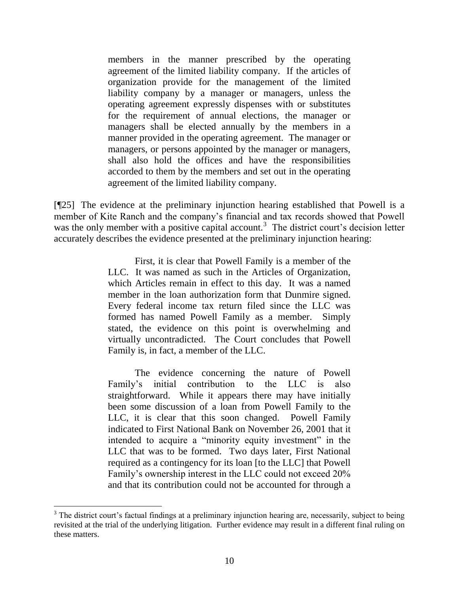members in the manner prescribed by the operating agreement of the limited liability company. If the articles of organization provide for the management of the limited liability company by a manager or managers, unless the operating agreement expressly dispenses with or substitutes for the requirement of annual elections, the manager or managers shall be elected annually by the members in a manner provided in the operating agreement. The manager or managers, or persons appointed by the manager or managers, shall also hold the offices and have the responsibilities accorded to them by the members and set out in the operating agreement of the limited liability company.

[¶25] The evidence at the preliminary injunction hearing established that Powell is a member of Kite Ranch and the company"s financial and tax records showed that Powell was the only member with a positive capital account.<sup>3</sup> The district court's decision letter accurately describes the evidence presented at the preliminary injunction hearing:

> First, it is clear that Powell Family is a member of the LLC. It was named as such in the Articles of Organization, which Articles remain in effect to this day. It was a named member in the loan authorization form that Dunmire signed. Every federal income tax return filed since the LLC was formed has named Powell Family as a member. Simply stated, the evidence on this point is overwhelming and virtually uncontradicted. The Court concludes that Powell Family is, in fact, a member of the LLC.

> The evidence concerning the nature of Powell Family"s initial contribution to the LLC is also straightforward. While it appears there may have initially been some discussion of a loan from Powell Family to the LLC, it is clear that this soon changed. Powell Family indicated to First National Bank on November 26, 2001 that it intended to acquire a "minority equity investment" in the LLC that was to be formed. Two days later, First National required as a contingency for its loan [to the LLC] that Powell Family"s ownership interest in the LLC could not exceed 20% and that its contribution could not be accounted for through a

<sup>&</sup>lt;sup>3</sup> The district court's factual findings at a preliminary injunction hearing are, necessarily, subject to being revisited at the trial of the underlying litigation. Further evidence may result in a different final ruling on these matters.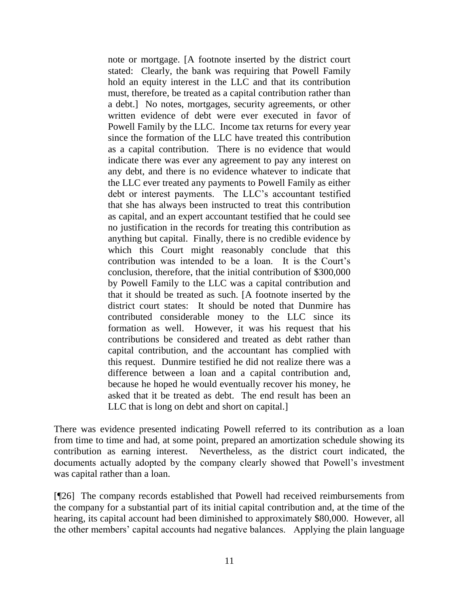note or mortgage. [A footnote inserted by the district court stated: Clearly, the bank was requiring that Powell Family hold an equity interest in the LLC and that its contribution must, therefore, be treated as a capital contribution rather than a debt.] No notes, mortgages, security agreements, or other written evidence of debt were ever executed in favor of Powell Family by the LLC. Income tax returns for every year since the formation of the LLC have treated this contribution as a capital contribution. There is no evidence that would indicate there was ever any agreement to pay any interest on any debt, and there is no evidence whatever to indicate that the LLC ever treated any payments to Powell Family as either debt or interest payments. The LLC"s accountant testified that she has always been instructed to treat this contribution as capital, and an expert accountant testified that he could see no justification in the records for treating this contribution as anything but capital. Finally, there is no credible evidence by which this Court might reasonably conclude that this contribution was intended to be a loan. It is the Court's conclusion, therefore, that the initial contribution of \$300,000 by Powell Family to the LLC was a capital contribution and that it should be treated as such. [A footnote inserted by the district court states: It should be noted that Dunmire has contributed considerable money to the LLC since its formation as well. However, it was his request that his contributions be considered and treated as debt rather than capital contribution, and the accountant has complied with this request. Dunmire testified he did not realize there was a difference between a loan and a capital contribution and, because he hoped he would eventually recover his money, he asked that it be treated as debt. The end result has been an LLC that is long on debt and short on capital.]

There was evidence presented indicating Powell referred to its contribution as a loan from time to time and had, at some point, prepared an amortization schedule showing its contribution as earning interest. Nevertheless, as the district court indicated, the documents actually adopted by the company clearly showed that Powell"s investment was capital rather than a loan.

[¶26] The company records established that Powell had received reimbursements from the company for a substantial part of its initial capital contribution and, at the time of the hearing, its capital account had been diminished to approximately \$80,000. However, all the other members" capital accounts had negative balances. Applying the plain language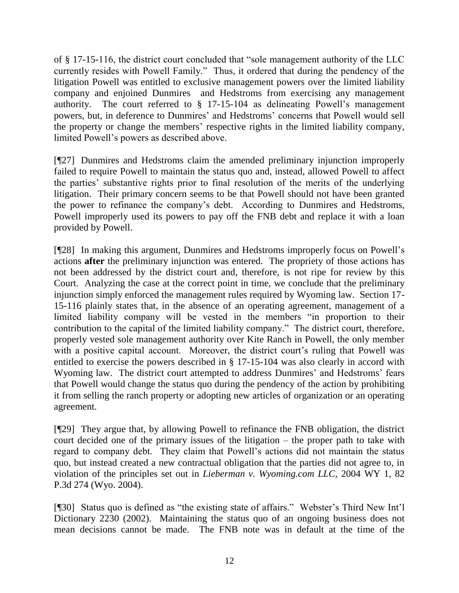of § 17-15-116, the district court concluded that "sole management authority of the LLC currently resides with Powell Family." Thus, it ordered that during the pendency of the litigation Powell was entitled to exclusive management powers over the limited liability company and enjoined Dunmires and Hedstroms from exercising any management authority. The court referred to § 17-15-104 as delineating Powell"s management powers, but, in deference to Dunmires" and Hedstroms" concerns that Powell would sell the property or change the members" respective rights in the limited liability company, limited Powell"s powers as described above.

[¶27] Dunmires and Hedstroms claim the amended preliminary injunction improperly failed to require Powell to maintain the status quo and, instead, allowed Powell to affect the parties" substantive rights prior to final resolution of the merits of the underlying litigation. Their primary concern seems to be that Powell should not have been granted the power to refinance the company"s debt. According to Dunmires and Hedstroms, Powell improperly used its powers to pay off the FNB debt and replace it with a loan provided by Powell.

[¶28] In making this argument, Dunmires and Hedstroms improperly focus on Powell"s actions **after** the preliminary injunction was entered. The propriety of those actions has not been addressed by the district court and, therefore, is not ripe for review by this Court. Analyzing the case at the correct point in time, we conclude that the preliminary injunction simply enforced the management rules required by Wyoming law. Section 17- 15-116 plainly states that, in the absence of an operating agreement, management of a limited liability company will be vested in the members "in proportion to their contribution to the capital of the limited liability company." The district court, therefore, properly vested sole management authority over Kite Ranch in Powell, the only member with a positive capital account. Moreover, the district court's ruling that Powell was entitled to exercise the powers described in § 17-15-104 was also clearly in accord with Wyoming law. The district court attempted to address Dunmires' and Hedstroms' fears that Powell would change the status quo during the pendency of the action by prohibiting it from selling the ranch property or adopting new articles of organization or an operating agreement.

[¶29] They argue that, by allowing Powell to refinance the FNB obligation, the district court decided one of the primary issues of the litigation – the proper path to take with regard to company debt. They claim that Powell"s actions did not maintain the status quo, but instead created a new contractual obligation that the parties did not agree to, in violation of the principles set out in *Lieberman v. Wyoming.com LLC,* 2004 WY 1, 82 P.3d 274 (Wyo. 2004).

[¶30] Status quo is defined as "the existing state of affairs." Webster's Third New Int'l Dictionary 2230 (2002). Maintaining the status quo of an ongoing business does not mean decisions cannot be made. The FNB note was in default at the time of the